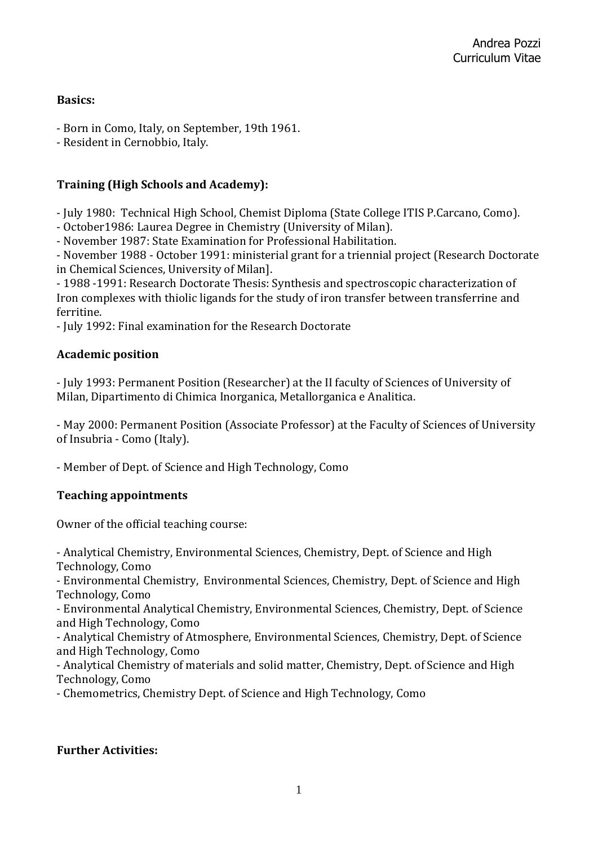### **Basics:**

- Born in Como, Italy, on September, 19th 1961.
- Resident in Cernobbio, Italy.

## **Training (High Schools and Academy):**

- July 1980: Technical High School, Chemist Diploma (State College ITIS P.Carcano, Como).

- October1986: Laurea Degree in Chemistry (University of Milan).

- November 1987: State Examination for Professional Habilitation.

- November 1988 - October 1991: ministerial grant for a triennial project (Research Doctorate in Chemical Sciences, University of Milan].

- 1988 -1991: Research Doctorate Thesis: Synthesis and spectroscopic characterization of Iron complexes with thiolic ligands for the study of iron transfer between transferrine and ferritine.

- July 1992: Final examination for the Research Doctorate

### **Academic position**

- July 1993: Permanent Position (Researcher) at the II faculty of Sciences of University of Milan, Dipartimento di Chimica Inorganica, Metallorganica e Analitica.

- May 2000: Permanent Position (Associate Professor) at the Faculty of Sciences of University of Insubria - Como (Italy).

- Member of Dept. of Science and High Technology, Como

## **Teaching appointments**

Owner of the official teaching course:

- Analytical Chemistry, Environmental Sciences, Chemistry, Dept. of Science and High Technology, Como

- Environmental Chemistry, Environmental Sciences, Chemistry, Dept. of Science and High Technology, Como

- Environmental Analytical Chemistry, Environmental Sciences, Chemistry, Dept. of Science and High Technology, Como

- Analytical Chemistry of Atmosphere, Environmental Sciences, Chemistry, Dept. of Science and High Technology, Como

- Analytical Chemistry of materials and solid matter, Chemistry, Dept. of Science and High Technology, Como

- Chemometrics, Chemistry Dept. of Science and High Technology, Como

## **Further Activities:**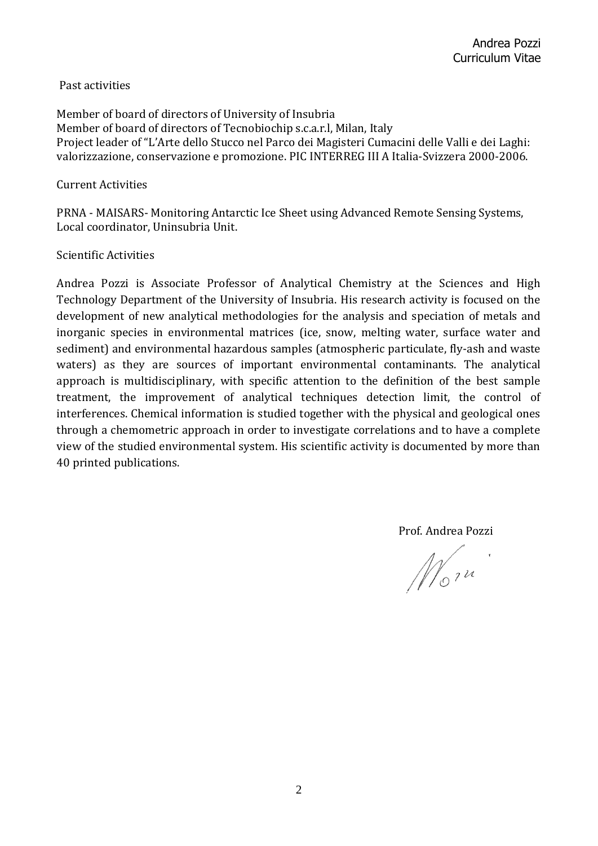#### Past activities

Member of board of directors of University of Insubria Member of board of directors of Tecnobiochip s.c.a.r.l, Milan, Italy Project leader of "L'Arte dello Stucco nel Parco dei Magisteri Cumacini delle Valli e dei Laghi: valorizzazione, conservazione e promozione. PIC INTERREG III A Italia-Svizzera 2000-2006.

#### Current Activities

PRNA - MAISARS- Monitoring Antarctic Ice Sheet using Advanced Remote Sensing Systems, Local coordinator, Uninsubria Unit.

#### Scientific Activities

Andrea Pozzi is Associate Professor of Analytical Chemistry at the Sciences and High Technology Department of the University of Insubria. His research activity is focused on the development of new analytical methodologies for the analysis and speciation of metals and inorganic species in environmental matrices (ice, snow, melting water, surface water and sediment) and environmental hazardous samples (atmospheric particulate, fly-ash and waste waters) as they are sources of important environmental contaminants. The analytical approach is multidisciplinary, with specific attention to the definition of the best sample treatment, the improvement of analytical techniques detection limit, the control of interferences. Chemical information is studied together with the physical and geological ones through a chemometric approach in order to investigate correlations and to have a complete view of the studied environmental system. His scientific activity is documented by more than 40 printed publications.

Prof. Andrea Pozzi

 $M_{\circ}$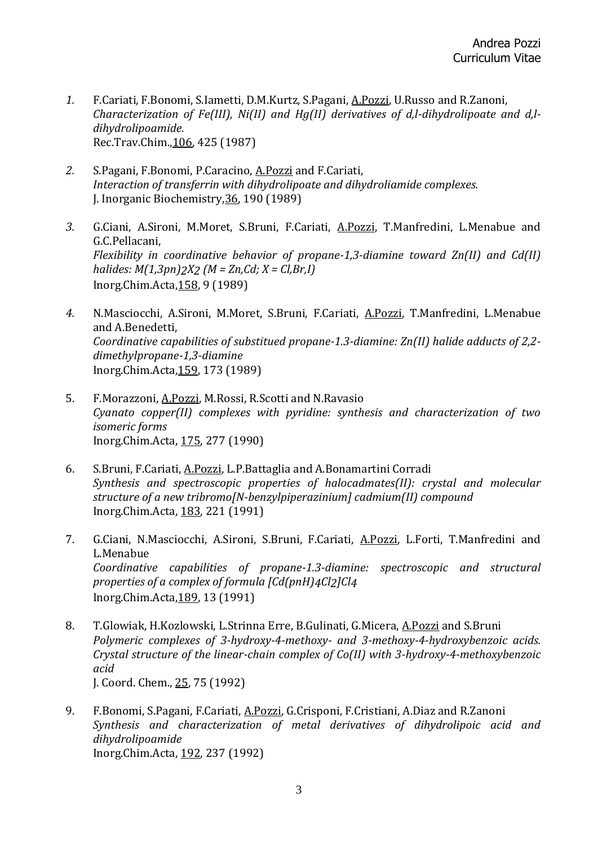- *1.* F.Cariati, F.Bonomi, S.Iametti, D.M.Kurtz, S.Pagani, A.Pozzi, U.Russo and R.Zanoni, *Characterization of Fe(III), Ni(II) and Hg(II) derivatives of d,l-dihydrolipoate and d,ldihydrolipoamide.* Rec.Trav.Chim.,106, 425 (1987)
- *2.* S.Pagani, F.Bonomi, P.Caracino, A.Pozzi and F.Cariati, *Interaction of transferrin with dihydrolipoate and dihydroliamide complexes.* J. Inorganic Biochemistry,36, 190 (1989)
- *3.* G.Ciani, A.Sironi, M.Moret, S.Bruni, F.Cariati, A.Pozzi, T.Manfredini, L.Menabue and G.C.Pellacani, *Flexibility in coordinative behavior of propane-1,3-diamine toward Zn(II) and Cd(II) halides: M(1,3pn)2X2 (M = Zn,Cd; X = Cl,Br,I)* Inorg.Chim.Acta,158, 9 (1989)
- *4.* N.Masciocchi, A.Sironi, M.Moret, S.Bruni, F.Cariati, A.Pozzi, T.Manfredini, L.Menabue and A.Benedetti, *Coordinative capabilities of substitued propane-1.3-diamine: Zn(II) halide adducts of 2,2 dimethylpropane-1,3-diamine* Inorg.Chim.Acta,159, 173 (1989)
- 5. F.Morazzoni, A.Pozzi, M.Rossi, R.Scotti and N.Ravasio *Cyanato copper(II) complexes with pyridine: synthesis and characterization of two isomeric forms* Inorg.Chim.Acta, 175, 277 (1990)
- 6. S.Bruni, F.Cariati, A.Pozzi, L.P.Battaglia and A.Bonamartini Corradi *Synthesis and spectroscopic properties of halocadmates(II): crystal and molecular structure of a new tribromo[N-benzylpiperazinium] cadmium(II) compound* Inorg.Chim.Acta, 183, 221 (1991)
- 7. G.Ciani, N.Masciocchi, A.Sironi, S.Bruni, F.Cariati, A.Pozzi, L.Forti, T.Manfredini and L.Menabue *Coordinative capabilities of propane-1.3-diamine: spectroscopic and structural properties of a complex of formula [Cd(pnH)4Cl2]Cl4* Inorg.Chim.Acta,189, 13 (1991)
- 8. T.Glowiak, H.Kozlowski, L.Strinna Erre, B.Gulinati, G.Micera, A.Pozzi and S.Bruni *Polymeric complexes of 3-hydroxy-4-methoxy- and 3-methoxy-4-hydroxybenzoic acids. Crystal structure of the linear-chain complex of Co(II) with 3-hydroxy-4-methoxybenzoic acid* J. Coord. Chem., 25, 75 (1992)
- 9. F.Bonomi, S.Pagani, F.Cariati, A.Pozzi, G.Crisponi, F.Cristiani, A.Diaz and R.Zanoni *Synthesis and characterization of metal derivatives of dihydrolipoic acid and dihydrolipoamide* Inorg.Chim.Acta, 192, 237 (1992)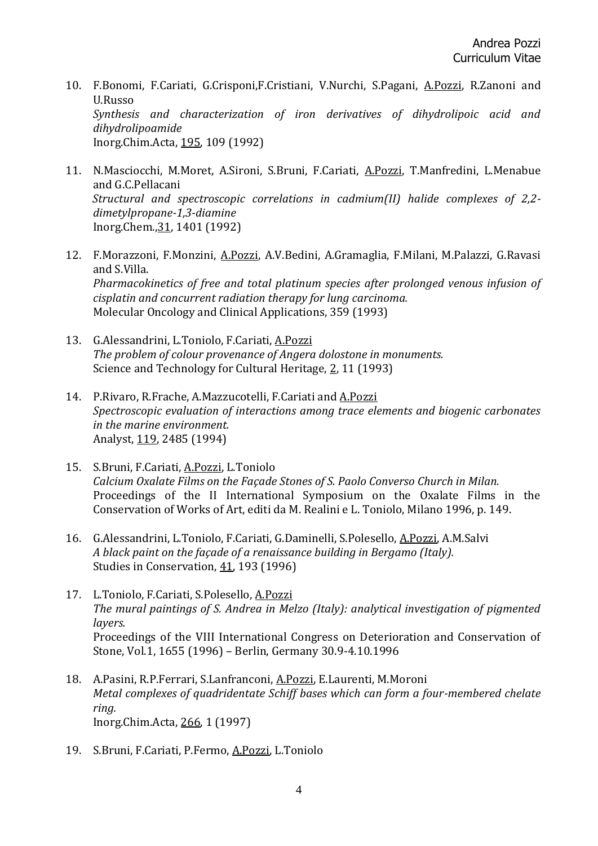- 10. F.Bonomi, F.Cariati, G.Crisponi,F.Cristiani, V.Nurchi, S.Pagani, A.Pozzi, R.Zanoni and U.Russo *Synthesis and characterization of iron derivatives of dihydrolipoic acid and dihydrolipoamide* Inorg.Chim.Acta, 195, 109 (1992)
- 11. N.Masciocchi, M.Moret, A.Sironi, S.Bruni, F.Cariati, A.Pozzi, T.Manfredini, L.Menabue and G.C.Pellacani *Structural and spectroscopic correlations in cadmium(II) halide complexes of 2,2 dimetylpropane-1,3-diamine* Inorg.Chem.,31, 1401 (1992)
- 12. F.Morazzoni, F.Monzini, A.Pozzi, A.V.Bedini, A.Gramaglia, F.Milani, M.Palazzi, G.Ravasi and S.Villa. *Pharmacokinetics of free and total platinum species after prolonged venous infusion of cisplatin and concurrent radiation therapy for lung carcinoma.* Molecular Oncology and Clinical Applications, 359 (1993)
- 13. G.Alessandrini, L.Toniolo, F.Cariati, A.Pozzi *The problem of colour provenance of Angera dolostone in monuments.* Science and Technology for Cultural Heritage, 2, 11 (1993)
- 14. P.Rivaro, R.Frache, A.Mazzucotelli, F.Cariati and A.Pozzi *Spectroscopic evaluation of interactions among trace elements and biogenic carbonates in the marine environment.* Analyst, 119, 2485 (1994)
- 15. S.Bruni, F.Cariati, A.Pozzi, L.Toniolo *Calcium Oxalate Films on the Façade Stones of S. Paolo Converso Church in Milan.* Proceedings of the II International Symposium on the Oxalate Films in the Conservation of Works of Art, editi da M. Realini e L. Toniolo, Milano 1996, p. 149.
- 16. G.Alessandrini, L.Toniolo, F.Cariati, G.Daminelli, S.Polesello, A.Pozzi, A.M.Salvi *A black paint on the façade of a renaissance building in Bergamo (Italy).* Studies in Conservation, 41, 193 (1996)
- 17. L.Toniolo, F.Cariati, S.Polesello, A.Pozzi *The mural paintings of S. Andrea in Melzo (Italy): analytical investigation of pigmented layers.* Proceedings of the VIII International Congress on Deterioration and Conservation of Stone, Vol.1, 1655 (1996) – Berlin, Germany 30.9-4.10.1996
- 18. A.Pasini, R.P.Ferrari, S.Lanfranconi, A.Pozzi, E.Laurenti, M.Moroni *Metal complexes of quadridentate Schiff bases which can form a four-membered chelate ring.* Inorg.Chim.Acta, 266, 1 (1997)
- 19. S.Bruni, F.Cariati, P.Fermo, A.Pozzi, L.Toniolo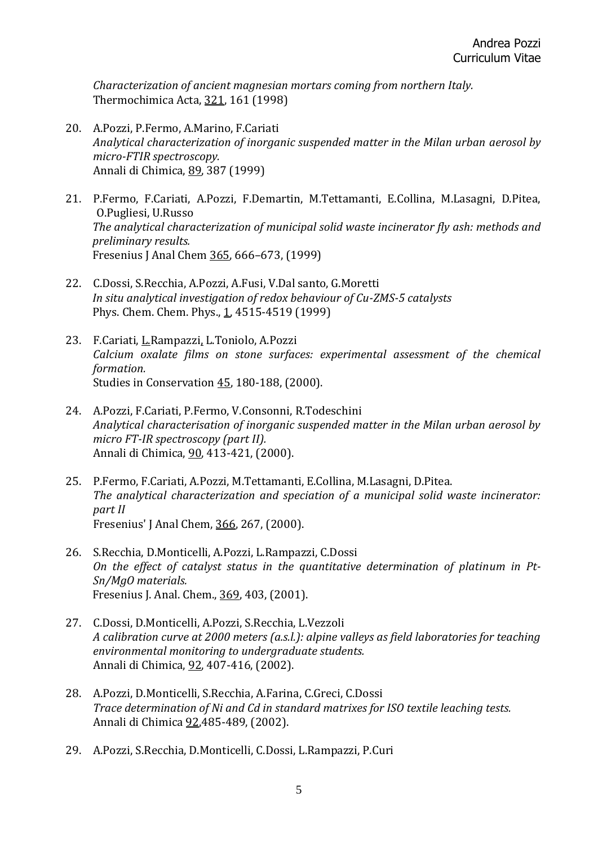*Characterization of ancient magnesian mortars coming from northern Italy.* Thermochimica Acta, 321, 161 (1998)

- 20. A.Pozzi, P.Fermo, A.Marino, F.Cariati *Analytical characterization of inorganic suspended matter in the Milan urban aerosol by micro-FTIR spectroscopy.* Annali di Chimica, 89, 387 (1999)
- 21. P.Fermo, F.Cariati, A.Pozzi, F.Demartin, M.Tettamanti, E.Collina, M.Lasagni, D.Pitea, ·O.Pugliesi, U.Russo *The analytical characterization of municipal solid waste incinerator fly ash: methods and preliminary results.* Fresenius J Anal Chem 365, 666–673, (1999)
- 22. C.Dossi, S.Recchia, A.Pozzi, A.Fusi, V.Dal santo, G.Moretti *In situ analytical investigation of redox behaviour of Cu-ZMS-5 catalysts* Phys. Chem. Chem. Phys., 1, 4515-4519 (1999)
- 23. F.Cariati, L.Rampazzi, L.Toniolo, A.Pozzi *Calcium oxalate films on stone surfaces: experimental assessment of the chemical formation.* Studies in Conservation 45, 180-188, (2000).
- 24. A.Pozzi, F.Cariati, P.Fermo, V.Consonni, R.Todeschini *Analytical characterisation of inorganic suspended matter in the Milan urban aerosol by micro FT-IR spectroscopy (part II).* Annali di Chimica, 90, 413-421, (2000).
- 25. P.Fermo, F.Cariati, A.Pozzi, M.Tettamanti, E.Collina, M.Lasagni, D.Pitea. *The analytical characterization and speciation of a municipal solid waste incinerator: part II* Fresenius' J Anal Chem, 366, 267, (2000).
- 26. S.Recchia, D.Monticelli, A.Pozzi, L.Rampazzi, C.Dossi *On the effect of catalyst status in the quantitative determination of platinum in Pt-Sn/MgO materials.* Fresenius J. Anal. Chem., 369, 403, (2001).
- 27. C.Dossi, D.Monticelli, A.Pozzi, S.Recchia, L.Vezzoli *A calibration curve at 2000 meters (a.s.l.): alpine valleys as field laboratories for teaching environmental monitoring to undergraduate students.* Annali di Chimica, 92, 407-416, (2002).
- 28. A.Pozzi, D.Monticelli, S.Recchia, A.Farina, C.Greci, C.Dossi *Trace determination of Ni and Cd in standard matrixes for ISO textile leaching tests.* Annali di Chimica 92,485-489, (2002).
- 29. A.Pozzi, S.Recchia, D.Monticelli, C.Dossi, L.Rampazzi, P.Curi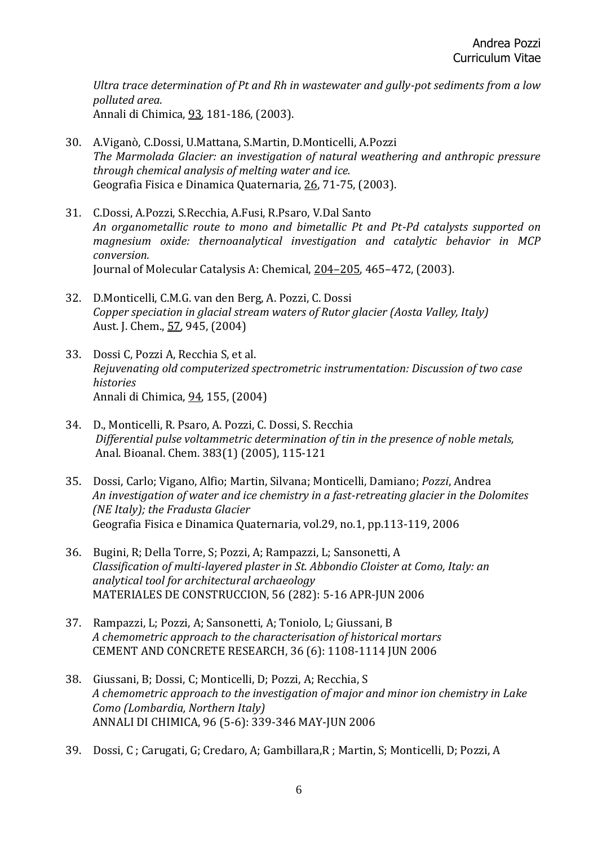*Ultra trace determination of Pt and Rh in wastewater and gully-pot sediments from a low polluted area.* Annali di Chimica, 93, 181-186, (2003).

- 30. A.Viganò, C.Dossi, U.Mattana, S.Martin, D.Monticelli, A.Pozzi *The Marmolada Glacier: an investigation of natural weathering and anthropic pressure through chemical analysis of melting water and ice.* Geografia Fisica e Dinamica Quaternaria, 26, 71-75, (2003).
- 31. C.Dossi, A.Pozzi, S.Recchia, A.Fusi, R.Psaro, V.Dal Santo *An organometallic route to mono and bimetallic Pt and Pt-Pd catalysts supported on magnesium oxide: thernoanalytical investigation and catalytic behavior in MCP conversion.* Journal of Molecular Catalysis A: Chemical, 204–205, 465–472, (2003).
- 32. D.Monticelli, C.M.G. van den Berg, A. Pozzi, C. Dossi *Copper speciation in glacial stream waters of Rutor glacier (Aosta Valley, Italy)* Aust. J. Chem., 57, 945, (2004)
- 33. Dossi C, Pozzi A, Recchia S, et al. *Rejuvenating old computerized spectrometric instrumentation: Discussion of two case histories* Annali di Chimica, 94, 155, (2004)
- 34. D., Monticelli, R. Psaro, A. Pozzi, C. Dossi, S. Recchia *Differential pulse voltammetric determination of tin in the presence of noble metals,*  Anal. Bioanal. Chem. 383(1) (2005), 115-121
- 35. [Dossi, Carlo;](http://csaweb109v.csa.com/ids70/p_search_form.php?field=au&query=dossi+carlo&log=literal&SID=eb1e2856e7dbd989e15ddba489c0796f) [Vigano, Alfio;](http://csaweb109v.csa.com/ids70/p_search_form.php?field=au&query=vigano+alfio&log=literal&SID=eb1e2856e7dbd989e15ddba489c0796f) [Martin, Silvana;](http://csaweb109v.csa.com/ids70/p_search_form.php?field=au&query=martin+silvana&log=literal&SID=eb1e2856e7dbd989e15ddba489c0796f) [Monticelli, Damiano;](http://csaweb109v.csa.com/ids70/p_search_form.php?field=au&query=monticelli+damiano&log=literal&SID=eb1e2856e7dbd989e15ddba489c0796f) *Pozzi*[, Andrea](http://csaweb109v.csa.com/ids70/p_search_form.php?field=au&query=pozzi+andrea&log=literal&SID=eb1e2856e7dbd989e15ddba489c0796f) *[An investigation of water and ice chemistry in a fast-retreating glacier in the Dolomites](http://csaweb109v.csa.com/ids70/view_record.php?id=3&recnum=0&log=from_res&SID=eb1e2856e7dbd989e15ddba489c0796f)  [\(NE Italy\); the Fradusta Glacier](http://csaweb109v.csa.com/ids70/view_record.php?id=3&recnum=0&log=from_res&SID=eb1e2856e7dbd989e15ddba489c0796f)* Geografia Fisica e Dinamica Quaternaria, vol.29, no.1, pp.113-119, 2006
- 36. Bugini, R; Della Torre, S; Pozzi, A; Rampazzi, L; Sansonetti, A *Classification of multi-layered plaster in St. Abbondio Cloister at Como, Italy: an analytical tool for architectural archaeology* MATERIALES DE CONSTRUCCION, 56 (282): 5-16 APR-JUN 2006
- 37. Rampazzi, L; Pozzi, A; Sansonetti, A; Toniolo, L; Giussani, B *A chemometric approach to the characterisation of historical mortars* CEMENT AND CONCRETE RESEARCH, 36 (6): 1108-1114 JUN 2006
- 38. Giussani, B; Dossi, C; Monticelli, D; Pozzi, A; Recchia, S *A chemometric approach to the investigation of major and minor ion chemistry in Lake Como (Lombardia, Northern Italy)* ANNALI DI CHIMICA, 96 (5-6): 339-346 MAY-JUN 2006
- 39. Dossi, C ; Carugati, G; Credaro, A; Gambillara,R ; Martin, S; Monticelli, D; Pozzi, A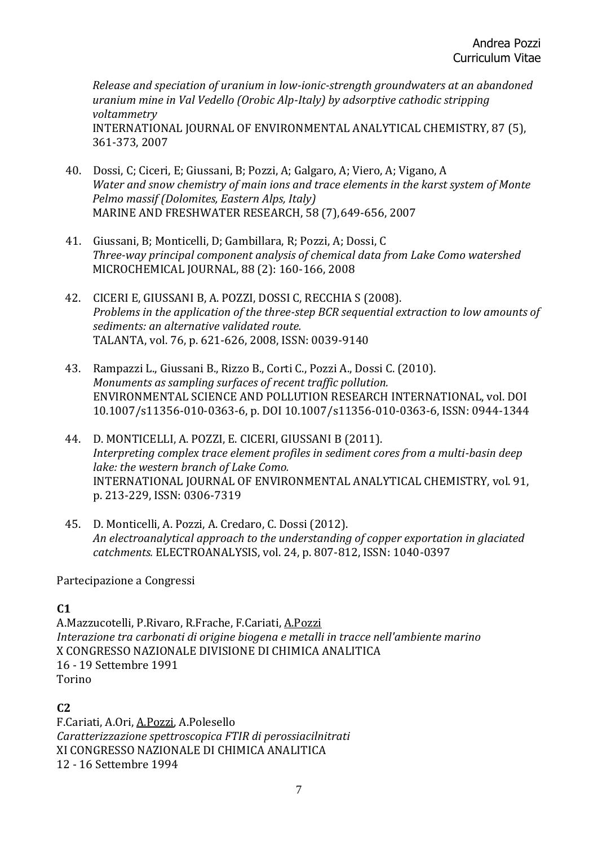*Release and speciation of uranium in low-ionic-strength groundwaters at an abandoned uranium mine in Val Vedello (Orobic Alp-Italy) by adsorptive cathodic stripping voltammetry* INTERNATIONAL JOURNAL OF ENVIRONMENTAL ANALYTICAL CHEMISTRY, 87 (5), 361-373, 2007

- 40. Dossi, C; Ciceri, E; Giussani, B; Pozzi, A; Galgaro, A; Viero, A; Vigano, A *Water and snow chemistry of main ions and trace elements in the karst system of Monte Pelmo massif (Dolomites, Eastern Alps, Italy)* MARINE AND FRESHWATER RESEARCH, 58 (7),649-656, 2007
- 41. Giussani, B; Monticelli, D; Gambillara, R; Pozzi, A; Dossi, C *Three-way principal component analysis of chemical data from Lake Como watershed* MICROCHEMICAL JOURNAL, 88 (2): 160-166, 2008
- 42. CICERI E, GIUSSANI B, A. POZZI, DOSSI C, RECCHIA S (2008). *Problems in the application of the three-step BCR sequential extraction to low amounts of sediments: an alternative validated route.*  TALANTA, vol. 76, p. 621-626, 2008, ISSN: 0039-9140
- 43. Rampazzi L., Giussani B., Rizzo B., Corti C., Pozzi A., Dossi C. (2010). *Monuments as sampling surfaces of recent traffic pollution.*  ENVIRONMENTAL SCIENCE AND POLLUTION RESEARCH INTERNATIONAL, vol. DOI 10.1007/s11356-010-0363-6, p. DOI 10.1007/s11356-010-0363-6, ISSN: 0944-1344
- 44. D. MONTICELLI, A. POZZI, E. CICERI, GIUSSANI B (2011). *Interpreting complex trace element profiles in sediment cores from a multi-basin deep lake: the western branch of Lake Como.*  INTERNATIONAL JOURNAL OF ENVIRONMENTAL ANALYTICAL CHEMISTRY, vol. 91, p. 213-229, ISSN: 0306-7319
- 45. D. Monticelli, A. Pozzi, A. Credaro, C. Dossi (2012). *An electroanalytical approach to the understanding of copper exportation in glaciated catchments.* ELECTROANALYSIS, vol. 24, p. 807-812, ISSN: 1040-0397

Partecipazione a Congressi

## **C1**

A.Mazzucotelli, P.Rivaro, R.Frache, F.Cariati, A.Pozzi *Interazione tra carbonati di origine biogena e metalli in tracce nell'ambiente marino* X CONGRESSO NAZIONALE DIVISIONE DI CHIMICA ANALITICA 16 - 19 Settembre 1991 Torino

#### **C2**

F.Cariati, A.Ori, A.Pozzi, A.Polesello *Caratterizzazione spettroscopica FTIR di perossiacilnitrati* XI CONGRESSO NAZIONALE DI CHIMICA ANALITICA 12 - 16 Settembre 1994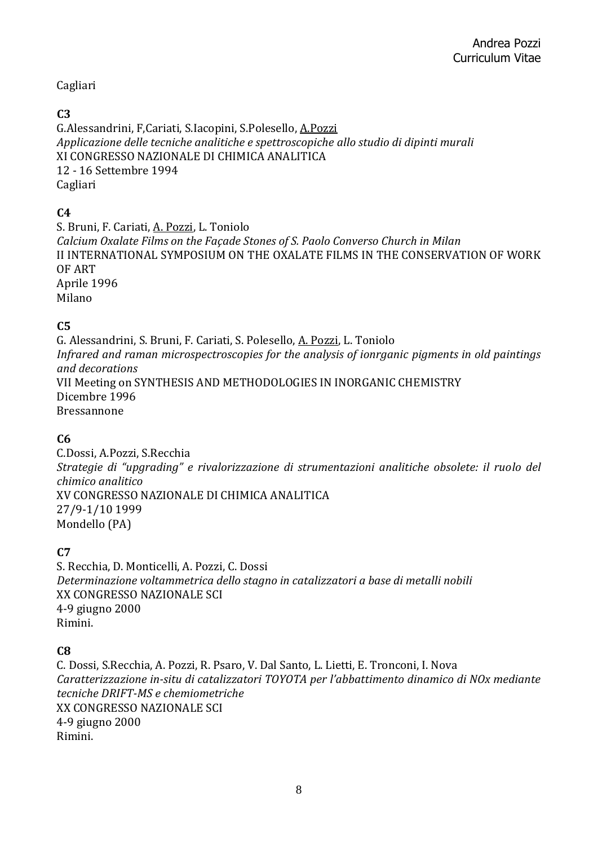## Cagliari

### **C3**

G.Alessandrini, F,Cariati, S.Iacopini, S.Polesello, A.Pozzi *Applicazione delle tecniche analitiche e spettroscopiche allo studio di dipinti murali* XI CONGRESSO NAZIONALE DI CHIMICA ANALITICA 12 - 16 Settembre 1994 Cagliari

## **C4**

S. Bruni, F. Cariati, A. Pozzi, L. Toniolo *Calcium Oxalate Films on the Façade Stones of S. Paolo Converso Church in Milan* II INTERNATIONAL SYMPOSIUM ON THE OXALATE FILMS IN THE CONSERVATION OF WORK OF ART Aprile 1996 Milano

## **C5**

G. Alessandrini, S. Bruni, F. Cariati, S. Polesello, A. Pozzi, L. Toniolo *Infrared and raman microspectroscopies for the analysis of ionrganic pigments in old paintings and decorations* VII Meeting on SYNTHESIS AND METHODOLOGIES IN INORGANIC CHEMISTRY Dicembre 1996 Bressannone

## **C6**

C.Dossi, A.Pozzi, S.Recchia *Strategie di "upgrading" e rivalorizzazione di strumentazioni analitiche obsolete: il ruolo del chimico analitico* XV CONGRESSO NAZIONALE DI CHIMICA ANALITICA 27/9-1/10 1999 Mondello (PA)

## **C7**

S. Recchia, D. Monticelli, A. Pozzi, C. Dossi *Determinazione voltammetrica dello stagno in catalizzatori a base di metalli nobili* XX CONGRESSO NAZIONALE SCI 4-9 giugno 2000 Rimini.

## **C8**

C. Dossi, S.Recchia, A. Pozzi, R. Psaro, V. Dal Santo, L. Lietti, E. Tronconi, I. Nova *Caratterizzazione in-situ di catalizzatori TOYOTA per l'abbattimento dinamico di NOx mediante tecniche DRIFT-MS e chemiometriche* XX CONGRESSO NAZIONALE SCI 4-9 giugno 2000 Rimini.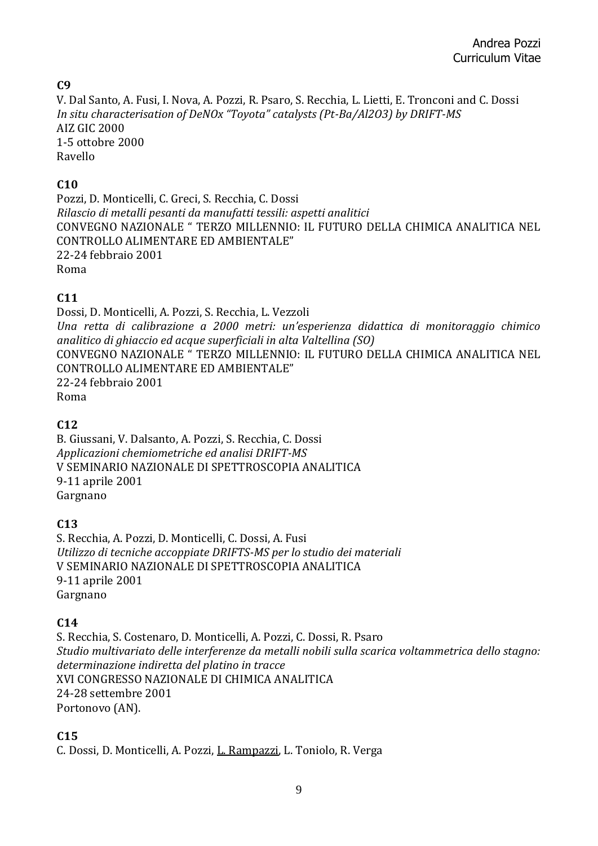**C9**

V. Dal Santo, A. Fusi, I. Nova, A. Pozzi, R. Psaro, S. Recchia, L. Lietti, E. Tronconi and C. Dossi *In situ characterisation of DeNOx "Toyota" catalysts (Pt-Ba/Al2O3) by DRIFT-MS* AIZ GIC 2000 1-5 ottobre 2000 Ravello

# **C10**

Pozzi, D. Monticelli, C. Greci, S. Recchia, C. Dossi *Rilascio di metalli pesanti da manufatti tessili: aspetti analitici* CONVEGNO NAZIONALE " TERZO MILLENNIO: IL FUTURO DELLA CHIMICA ANALITICA NEL CONTROLLO ALIMENTARE ED AMBIENTALE" 22-24 febbraio 2001 Roma

# **C11**

Dossi, D. Monticelli, A. Pozzi, S. Recchia, L. Vezzoli *Una retta di calibrazione a 2000 metri: un'esperienza didattica di monitoraggio chimico analitico di ghiaccio ed acque superficiali in alta Valtellina (SO)* CONVEGNO NAZIONALE " TERZO MILLENNIO: IL FUTURO DELLA CHIMICA ANALITICA NEL CONTROLLO ALIMENTARE ED AMBIENTALE" 22-24 febbraio 2001 Roma

## **C12**

B. Giussani, V. Dalsanto, A. Pozzi, S. Recchia, C. Dossi *Applicazioni chemiometriche ed analisi DRIFT-MS* V SEMINARIO NAZIONALE DI SPETTROSCOPIA ANALITICA 9-11 aprile 2001 Gargnano

# **C13**

S. Recchia, A. Pozzi, D. Monticelli, C. Dossi, A. Fusi *Utilizzo di tecniche accoppiate DRIFTS-MS per lo studio dei materiali* V SEMINARIO NAZIONALE DI SPETTROSCOPIA ANALITICA 9-11 aprile 2001 Gargnano

# **C14**

S. Recchia, S. Costenaro, D. Monticelli, A. Pozzi, C. Dossi, R. Psaro *Studio multivariato delle interferenze da metalli nobili sulla scarica voltammetrica dello stagno: determinazione indiretta del platino in tracce* XVI CONGRESSO NAZIONALE DI CHIMICA ANALITICA 24-28 settembre 2001 Portonovo (AN).

## **C15**

C. Dossi, D. Monticelli, A. Pozzi, L. Rampazzi, L. Toniolo, R. Verga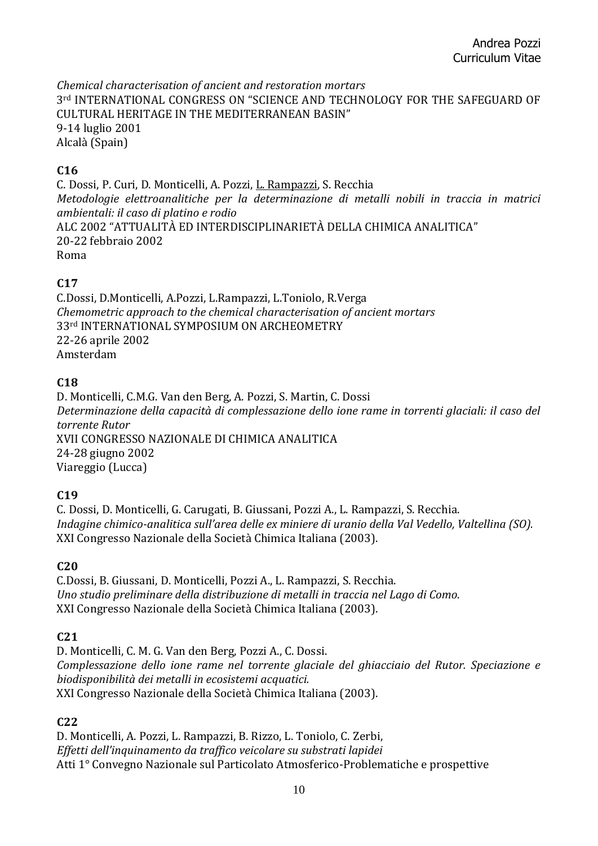*Chemical characterisation of ancient and restoration mortars* 3rd INTERNATIONAL CONGRESS ON "SCIENCE AND TECHNOLOGY FOR THE SAFEGUARD OF CULTURAL HERITAGE IN THE MEDITERRANEAN BASIN" 9-14 luglio 2001 Alcalà (Spain)

## **C16**

C. Dossi, P. Curi, D. Monticelli, A. Pozzi, L. Rampazzi, S. Recchia *Metodologie elettroanalitiche per la determinazione di metalli nobili in traccia in matrici ambientali: il caso di platino e rodio* ALC 2002 "ATTUALITÀ ED INTERDISCIPLINARIETÀ DELLA CHIMICA ANALITICA" 20-22 febbraio 2002 Roma

# **C17**

C.Dossi, D.Monticelli, A.Pozzi, L.Rampazzi, L.Toniolo, R.Verga *Chemometric approach to the chemical characterisation of ancient mortars* 33rd INTERNATIONAL SYMPOSIUM ON ARCHEOMETRY 22-26 aprile 2002 Amsterdam

# **C18**

D. Monticelli, C.M.G. Van den Berg, A. Pozzi, S. Martin, C. Dossi *Determinazione della capacità di complessazione dello ione rame in torrenti glaciali: il caso del torrente Rutor* XVII CONGRESSO NAZIONALE DI CHIMICA ANALITICA 24-28 giugno 2002 Viareggio (Lucca)

## **C19**

C. Dossi, D. Monticelli, G. Carugati, B. Giussani, Pozzi A., L. Rampazzi, S. Recchia. *Indagine chimico-analitica sull'area delle ex miniere di uranio della Val Vedello, Valtellina (SO).*  XXI Congresso Nazionale della Società Chimica Italiana (2003).

## **C20**

C.Dossi, B. Giussani, D. Monticelli, Pozzi A., L. Rampazzi, S. Recchia. *Uno studio preliminare della distribuzione di metalli in traccia nel Lago di Como.*  XXI Congresso Nazionale della Società Chimica Italiana (2003).

# **C21**

D. Monticelli, C. M. G. Van den Berg, Pozzi A., C. Dossi. *Complessazione dello ione rame nel torrente glaciale del ghiacciaio del Rutor. Speciazione e biodisponibilità dei metalli in ecosistemi acquatici.* XXI Congresso Nazionale della Società Chimica Italiana (2003).

## **C22**

D. Monticelli, A. Pozzi, L. Rampazzi, B. Rizzo, L. Toniolo, C. Zerbi, *Effetti dell'inquinamento da traffico veicolare su substrati lapidei* Atti 1° Convegno Nazionale sul Particolato Atmosferico-Problematiche e prospettive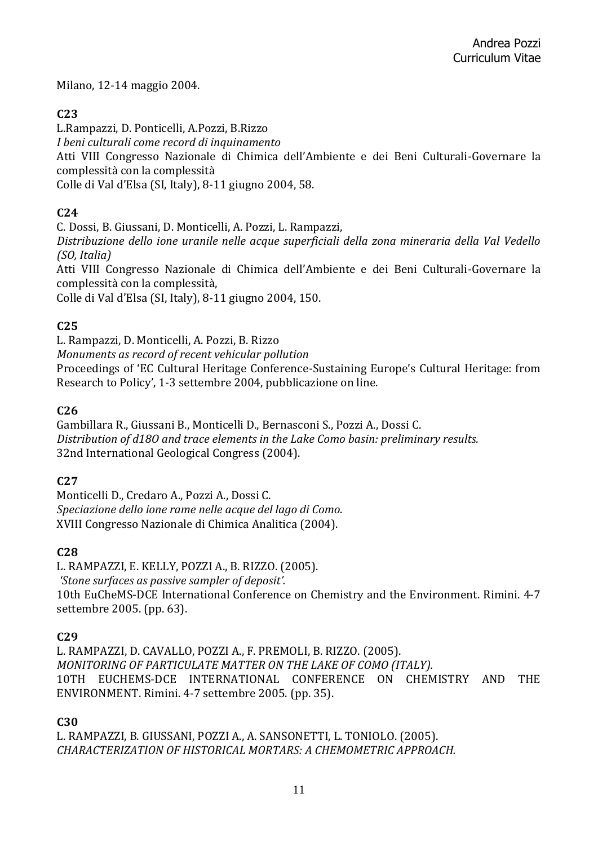Milano, 12-14 maggio 2004.

## **C23**

L.Rampazzi, D. Ponticelli, A.Pozzi, B.Rizzo

*I beni culturali come record di inquinamento*

Atti VIII Congresso Nazionale di Chimica dell'Ambiente e dei Beni Culturali-Governare la complessità con la complessità

Colle di Val d'Elsa (SI, Italy), 8-11 giugno 2004, 58.

# **C24**

C. Dossi, B. Giussani, D. Monticelli, A. Pozzi, L. Rampazzi,

*Distribuzione dello ione uranile nelle acque superficiali della zona mineraria della Val Vedello (SO, Italia)*

Atti VIII Congresso Nazionale di Chimica dell'Ambiente e dei Beni Culturali-Governare la complessità con la complessità,

Colle di Val d'Elsa (SI, Italy), 8-11 giugno 2004, 150.

## **C25**

L. Rampazzi, D. Monticelli, A. Pozzi, B. Rizzo *Monuments as record of recent vehicular pollution* Proceedings of 'EC Cultural Heritage Conference-Sustaining Europe's Cultural Heritage: from Research to Policy', 1-3 settembre 2004, pubblicazione on line.

# **C26**

Gambillara R., Giussani B., Monticelli D., Bernasconi S., Pozzi A., Dossi C. *Distribution of d18O and trace elements in the Lake Como basin: preliminary results.*  32nd International Geological Congress (2004).

## **C27**

Monticelli D., Credaro A., Pozzi A., Dossi C. *Speciazione dello ione rame nelle acque del lago di Como.*  XVIII Congresso Nazionale di Chimica Analitica (2004).

# **C28**

L. RAMPAZZI, E. KELLY, POZZI A., B. RIZZO. (2005). *'Stone surfaces as passive sampler of deposit'.*  10th EuCheMS-DCE International Conference on Chemistry and the Environment. Rimini. 4-7 settembre 2005. (pp. 63).

## **C29**

L. RAMPAZZI, D. CAVALLO, POZZI A., F. PREMOLI, B. RIZZO. (2005). *MONITORING OF PARTICULATE MATTER ON THE LAKE OF COMO (ITALY).*  10TH EUCHEMS-DCE INTERNATIONAL CONFERENCE ON CHEMISTRY AND THE ENVIRONMENT. Rimini. 4-7 settembre 2005. (pp. 35).

## **C30**

L. RAMPAZZI, B. GIUSSANI, POZZI A., A. SANSONETTI, L. TONIOLO. (2005). *CHARACTERIZATION OF HISTORICAL MORTARS: A CHEMOMETRIC APPROACH.*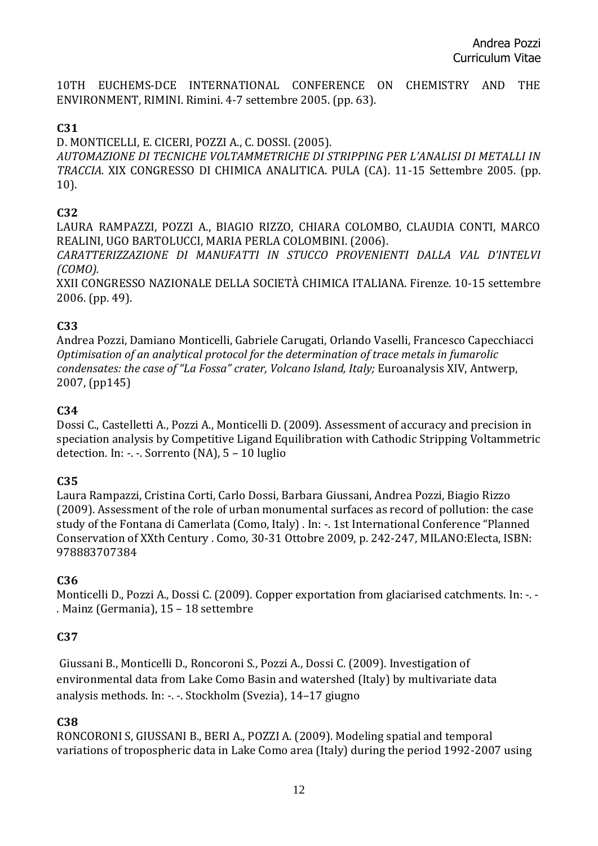10TH EUCHEMS-DCE INTERNATIONAL CONFERENCE ON CHEMISTRY AND THE ENVIRONMENT, RIMINI. Rimini. 4-7 settembre 2005. (pp. 63).

#### **C31**

D. MONTICELLI, E. CICERI, POZZI A., C. DOSSI. (2005). *AUTOMAZIONE DI TECNICHE VOLTAMMETRICHE DI STRIPPING PER L'ANALISI DI METALLI IN TRACCIA.* XIX CONGRESSO DI CHIMICA ANALITICA. PULA (CA). 11-15 Settembre 2005. (pp. 10).

### **C32**

LAURA RAMPAZZI, POZZI A., BIAGIO RIZZO, CHIARA COLOMBO, CLAUDIA CONTI, MARCO REALINI, UGO BARTOLUCCI, MARIA PERLA COLOMBINI. (2006).

*CARATTERIZZAZIONE DI MANUFATTI IN STUCCO PROVENIENTI DALLA VAL D'INTELVI (COMO).* 

XXII CONGRESSO NAZIONALE DELLA SOCIETÀ CHIMICA ITALIANA. Firenze. 10-15 settembre 2006. (pp. 49).

### **C33**

Andrea Pozzi, Damiano Monticelli, Gabriele Carugati, Orlando Vaselli, Francesco Capecchiacci *Optimisation of an analytical protocol for the determination of trace metals in fumarolic condensates: the case of "La Fossa" crater, Volcano Island, Italy;* Euroanalysis XIV, Antwerp, 2007, (pp145)

### **C34**

Dossi C., Castelletti A., Pozzi A., Monticelli D. (2009). Assessment of accuracy and precision in speciation analysis by Competitive Ligand Equilibration with Cathodic Stripping Voltammetric detection. In: -. -. Sorrento (NA), 5 – 10 luglio

## **C35**

Laura Rampazzi, Cristina Corti, Carlo Dossi, Barbara Giussani, Andrea Pozzi, Biagio Rizzo (2009). Assessment of the role of urban monumental surfaces as record of pollution: the case study of the Fontana di Camerlata (Como, Italy) . In: -. 1st International Conference "Planned Conservation of XXth Century . Como, 30-31 Ottobre 2009, p. 242-247, MILANO:Electa, ISBN: 978883707384

## **C36**

Monticelli D., Pozzi A., Dossi C. (2009). Copper exportation from glaciarised catchments. In: -. -. Mainz (Germania), 15 – 18 settembre

## **C37**

Giussani B., Monticelli D., Roncoroni S., Pozzi A., Dossi C. (2009). Investigation of environmental data from Lake Como Basin and watershed (Italy) by multivariate data analysis methods. In: -. -. Stockholm (Svezia), 14–17 giugno

## **C38**

RONCORONI S, GIUSSANI B., BERI A., POZZI A. (2009). Modeling spatial and temporal variations of tropospheric data in Lake Como area (Italy) during the period 1992-2007 using